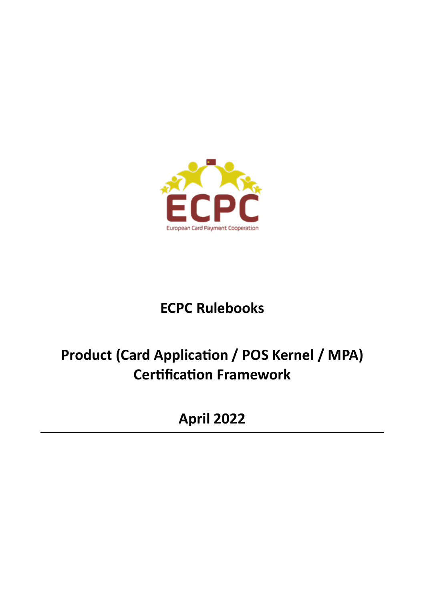

# **ECPC Rulebooks**

# **Product (Card Application / POS Kernel / MPA) Certification Framework**

**April 2022**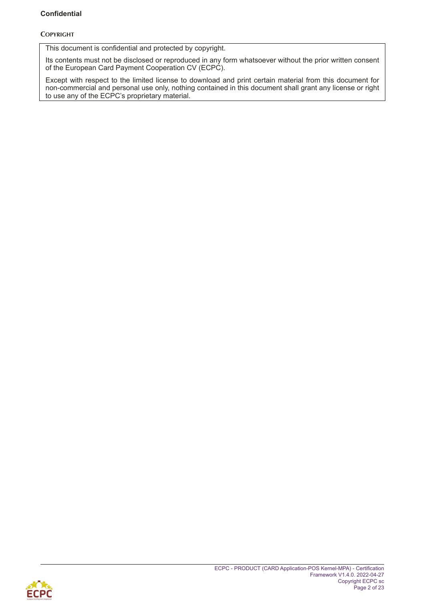#### **Confidential**

#### **COPYRIGHT**

This document is confidential and protected by copyright.

Its contents must not be disclosed or reproduced in any form whatsoever without the prior written consent of the European Card Payment Cooperation CV (ECPC).

Except with respect to the limited license to download and print certain material from this document for non-commercial and personal use only, nothing contained in this document shall grant any license or right to use any of the ECPC's proprietary material.

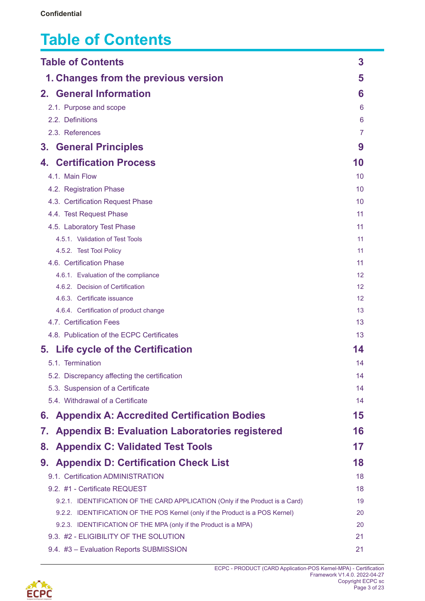# <span id="page-2-0"></span>**Table of Contents**

| <b>Table of Contents</b>                                                      | 3        |
|-------------------------------------------------------------------------------|----------|
| 1. Changes from the previous version                                          | 5        |
| 2. General Information                                                        | 6        |
| 2.1. Purpose and scope                                                        | 6        |
| 2.2. Definitions                                                              | 6        |
| 2.3. References                                                               | 7        |
| <b>General Principles</b><br>3.                                               | 9        |
| <b>Certification Process</b><br>4.                                            | 10       |
| 4.1. Main Flow                                                                | 10       |
| 4.2. Registration Phase                                                       | 10       |
| 4.3. Certification Request Phase                                              | 10       |
| 4.4. Test Request Phase                                                       | 11       |
| 4.5. Laboratory Test Phase                                                    | 11       |
| 4.5.1. Validation of Test Tools                                               | 11       |
| 4.5.2. Test Tool Policy                                                       | 11       |
| 4.6. Certification Phase                                                      | 11       |
| 4.6.1. Evaluation of the compliance                                           | 12       |
| 4.6.2. Decision of Certification                                              | 12       |
| 4.6.3. Certificate issuance                                                   | 12       |
| 4.6.4. Certification of product change<br>4.7. Certification Fees             | 13<br>13 |
| 4.8. Publication of the ECPC Certificates                                     | 13       |
|                                                                               |          |
| 5. Life cycle of the Certification                                            | 14       |
| 5.1. Termination                                                              | 14       |
| 5.2. Discrepancy affecting the certification                                  | 14       |
| 5.3. Suspension of a Certificate                                              | 14       |
| 5.4. Withdrawal of a Certificate                                              | 14       |
| <b>Appendix A: Accredited Certification Bodies</b><br>6.                      | 15       |
| <b>Appendix B: Evaluation Laboratories registered</b><br>7.                   | 16       |
| <b>Appendix C: Validated Test Tools</b><br>8.                                 | 17       |
| <b>Appendix D: Certification Check List</b><br>9.                             | 18       |
| 9.1. Certification ADMINISTRATION                                             | 18       |
| 9.2. #1 - Certificate REQUEST                                                 | 18       |
| 9.2.1. IDENTIFICATION OF THE CARD APPLICATION (Only if the Product is a Card) | 19       |
| 9.2.2. IDENTIFICATION OF THE POS Kernel (only if the Product is a POS Kernel) | 20       |
| 9.2.3. IDENTIFICATION OF THE MPA (only if the Product is a MPA)               | 20       |
| 9.3. #2 - ELIGIBILITY OF THE SOLUTION                                         | 21       |
| 9.4. #3 - Evaluation Reports SUBMISSION                                       | 21       |

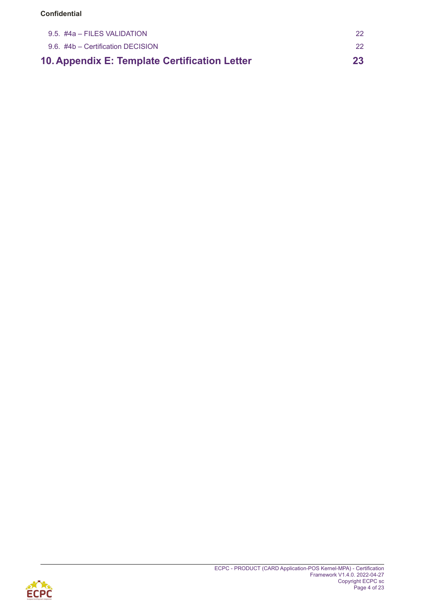#### **Confidential**

| 10. Appendix E: Template Certification Letter | 23  |
|-----------------------------------------------|-----|
| 9.6. #4b – Certification DECISION             | -22 |
| $9.5.$ #4a – FILES VALIDATION                 |     |

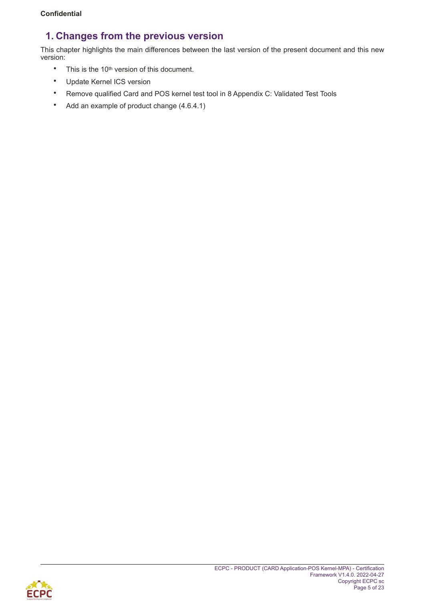# <span id="page-4-0"></span>**1. Changes from the previous version**

This chapter highlights the main differences between the last version of the present document and this new version:

- This is the 10<sup>th</sup> version of this document.
- Update Kernel ICS version
- Remove qualified Card and POS kernel test tool in 8 Appendix C: Validated Test Tools
- Add an example of product change (4.6.4.1)

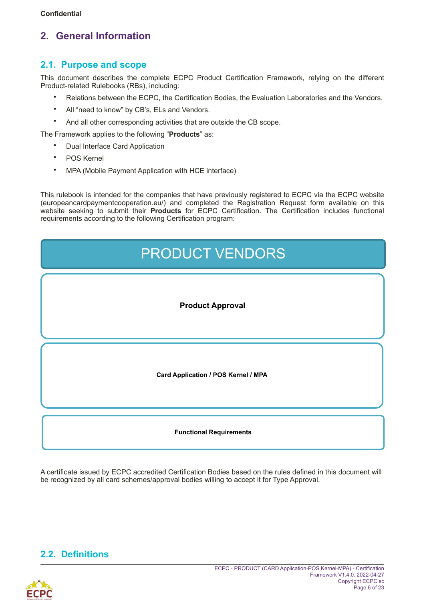# <span id="page-5-0"></span>**2. General Information**

### <span id="page-5-1"></span>**2.1. Purpose and scope**

This document describes the complete ECPC Product Certification Framework, relying on the different Product-related Rulebooks (RBs), including:

- Relations between the ECPC, the Certification Bodies, the Evaluation Laboratories and the Vendors.
- All "need to know" by CB's, ELs and Vendors.
- And all other corresponding activities that are outside the CB scope.

The Framework applies to the following "**Products**" as:

- Dual Interface Card Application
- POS Kernel
- MPA (Mobile Payment Application with HCE interface)

This rulebook is intended for the companies that have previously registered to ECPC via the ECPC website (europeancardpaymentcooperation.eu/) and completed the Registration Request form available on this website seeking to submit their **Products** for ECPC Certification. The Certification includes functional requirements according to the following Certification program:

| <b>PRODUCT VENDORS</b>              |  |  |
|-------------------------------------|--|--|
| <b>Product Approval</b>             |  |  |
| Card Application / POS Kernel / MPA |  |  |
| <b>Functional Requirements</b>      |  |  |

A certificate issued by ECPC accredited Certification Bodies based on the rules defined in this document will be recognized by all card schemes/approval bodies willing to accept it for Type Approval.

# <span id="page-5-2"></span>**2.2. Definitions**

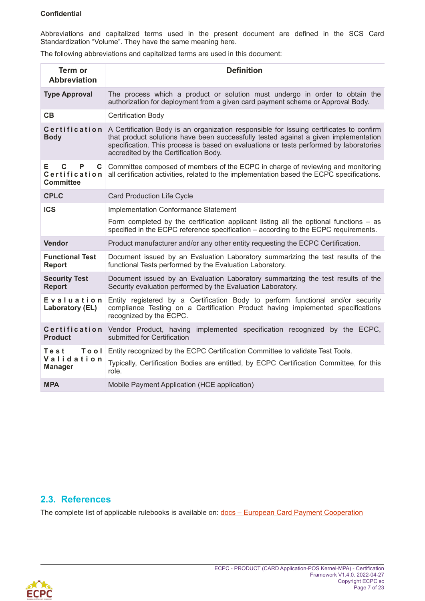#### **Confidential**

Abbreviations and capitalized terms used in the present document are defined in the SCS Card Standardization "Volume". They have the same meaning here.

The following abbreviations and capitalized terms are used in this document:

| Term or<br><b>Abbreviation</b>                                       | <b>Definition</b>                                                                                                                                                                                                                                                                                                 |
|----------------------------------------------------------------------|-------------------------------------------------------------------------------------------------------------------------------------------------------------------------------------------------------------------------------------------------------------------------------------------------------------------|
| <b>Type Approval</b>                                                 | The process which a product or solution must undergo in order to obtain the<br>authorization for deployment from a given card payment scheme or Approval Body.                                                                                                                                                    |
| CB                                                                   | <b>Certification Body</b>                                                                                                                                                                                                                                                                                         |
| Certification<br><b>Body</b>                                         | A Certification Body is an organization responsible for Issuing certificates to confirm<br>that product solutions have been successfully tested against a given implementation<br>specification. This process is based on evaluations or tests performed by laboratories<br>accredited by the Certification Body. |
| $\mathbf C$<br>P<br>E.<br>$\mathbf{C}$<br>Certification<br>Committee | Committee composed of members of the ECPC in charge of reviewing and monitoring<br>all certification activities, related to the implementation based the ECPC specifications.                                                                                                                                     |
| <b>CPLC</b>                                                          | <b>Card Production Life Cycle</b>                                                                                                                                                                                                                                                                                 |
| <b>ICS</b>                                                           | <b>Implementation Conformance Statement</b>                                                                                                                                                                                                                                                                       |
|                                                                      | Form completed by the certification applicant listing all the optional functions $-$ as<br>specified in the ECPC reference specification – according to the ECPC requirements.                                                                                                                                    |
| <b>Vendor</b>                                                        | Product manufacturer and/or any other entity requesting the ECPC Certification.                                                                                                                                                                                                                                   |
| <b>Functional Test</b><br><b>Report</b>                              | Document issued by an Evaluation Laboratory summarizing the test results of the<br>functional Tests performed by the Evaluation Laboratory.                                                                                                                                                                       |
| <b>Security Test</b><br><b>Report</b>                                | Document issued by an Evaluation Laboratory summarizing the test results of the<br>Security evaluation performed by the Evaluation Laboratory.                                                                                                                                                                    |
| Evaluation<br>Laboratory (EL)                                        | Entity registered by a Certification Body to perform functional and/or security<br>compliance Testing on a Certification Product having implemented specifications<br>recognized by the ECPC.                                                                                                                     |
| <b>Product</b>                                                       | Certification Vendor Product, having<br>implemented specification recognized by the ECPC,<br>submitted for Certification                                                                                                                                                                                          |
| Tool<br>Test                                                         | Entity recognized by the ECPC Certification Committee to validate Test Tools.                                                                                                                                                                                                                                     |
| Validation<br><b>Manager</b>                                         | Typically, Certification Bodies are entitled, by ECPC Certification Committee, for this<br>role.                                                                                                                                                                                                                  |
| <b>MPA</b>                                                           | Mobile Payment Application (HCE application)                                                                                                                                                                                                                                                                      |

### <span id="page-6-0"></span>**2.3. References**

The complete list of applicable rulebooks is available on: docs - European Card Payment Cooperation

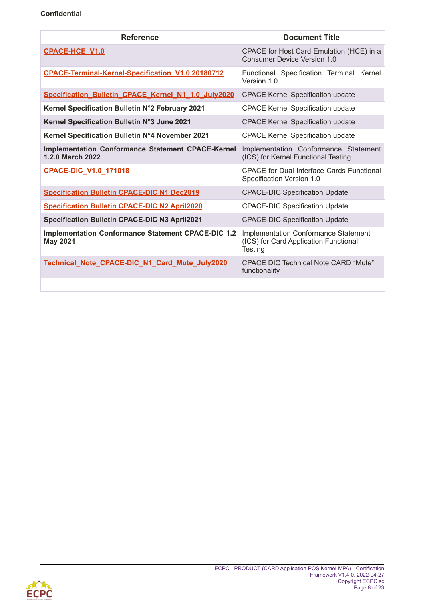| <b>Reference</b>                                                             | <b>Document Title</b>                                                                           |  |
|------------------------------------------------------------------------------|-------------------------------------------------------------------------------------------------|--|
| <b>CPACE-HCE V1.0</b>                                                        | CPACE for Host Card Emulation (HCE) in a<br>Consumer Device Version 1.0                         |  |
| <b>CPACE-Terminal-Kernel-Specification V1.0 20180712</b>                     | Functional Specification Terminal Kernel<br>Version 1.0                                         |  |
| Specification_Bulletin_CPACE_Kernel_N1_1.0_July2020                          | <b>CPACE Kernel Specification update</b>                                                        |  |
| Kernel Specification Bulletin N°2 February 2021                              | <b>CPACE Kernel Specification update</b>                                                        |  |
| Kernel Specification Bulletin N°3 June 2021                                  | <b>CPACE Kernel Specification update</b>                                                        |  |
| Kernel Specification Bulletin N°4 November 2021                              | <b>CPACE Kernel Specification update</b>                                                        |  |
| <b>Implementation Conformance Statement CPACE-Kernel</b><br>1.2.0 March 2022 | Implementation Conformance Statement<br>(ICS) for Kernel Functional Testing                     |  |
| <b>CPACE-DIC V1.0 171018</b>                                                 | <b>CPACE for Dual Interface Cards Functional</b><br>Specification Version 1.0                   |  |
| <b>Specification Bulletin CPACE-DIC N1 Dec2019</b>                           | <b>CPACE-DIC Specification Update</b>                                                           |  |
| <b>Specification Bulletin CPACE-DIC N2 April2020</b>                         | <b>CPACE-DIC Specification Update</b>                                                           |  |
| <b>Specification Bulletin CPACE-DIC N3 April2021</b>                         | <b>CPACE-DIC Specification Update</b>                                                           |  |
| <b>Implementation Conformance Statement CPACE-DIC 1.2</b><br><b>May 2021</b> | <b>Implementation Conformance Statement</b><br>(ICS) for Card Application Functional<br>Testing |  |
| Technical Note CPACE-DIC N1 Card Mute July2020                               | <b>CPACE DIC Technical Note CARD "Mute"</b><br>functionality                                    |  |
|                                                                              |                                                                                                 |  |

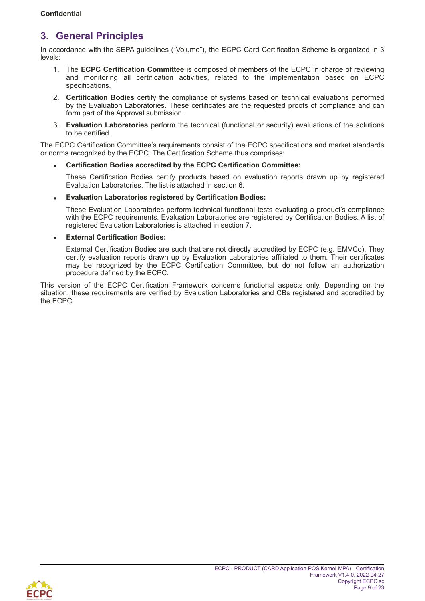## <span id="page-8-0"></span>**3. General Principles**

In accordance with the SEPA guidelines ("Volume"), the ECPC Card Certification Scheme is organized in 3 levels:

- 1. The **ECPC Certification Committee** is composed of members of the ECPC in charge of reviewing and monitoring all certification activities, related to the implementation based on ECPC specifications.
- 2. **Certification Bodies** certify the compliance of systems based on technical evaluations performed by the Evaluation Laboratories. These certificates are the requested proofs of compliance and can form part of the Approval submission.
- 3. **Evaluation Laboratories** perform the technical (functional or security) evaluations of the solutions to be certified.

The ECPC Certification Committee's requirements consist of the ECPC specifications and market standards or norms recognized by the ECPC. The Certification Scheme thus comprises:

#### ▪ **Certification Bodies accredited by the ECPC Certification Committee:**

These Certification Bodies certify products based on evaluation reports drawn up by registered Evaluation Laboratories. The list is attached in section [6.](#page-14-1)

#### ▪ **Evaluation Laboratories registered by Certification Bodies:**

These Evaluation Laboratories perform technical functional tests evaluating a product's compliance with the ECPC requirements. Evaluation Laboratories are registered by Certification Bodies. A list of registered Evaluation Laboratories is attached in section [7.](#page-15-1)

#### ▪ **External Certification Bodies:**

External Certification Bodies are such that are not directly accredited by ECPC (e.g. EMVCo). They certify evaluation reports drawn up by Evaluation Laboratories affiliated to them. Their certificates may be recognized by the ECPC Certification Committee, but do not follow an authorization procedure defined by the ECPC.

This version of the ECPC Certification Framework concerns functional aspects only. Depending on the situation, these requirements are verified by Evaluation Laboratories and CBs registered and accredited by the ECPC.

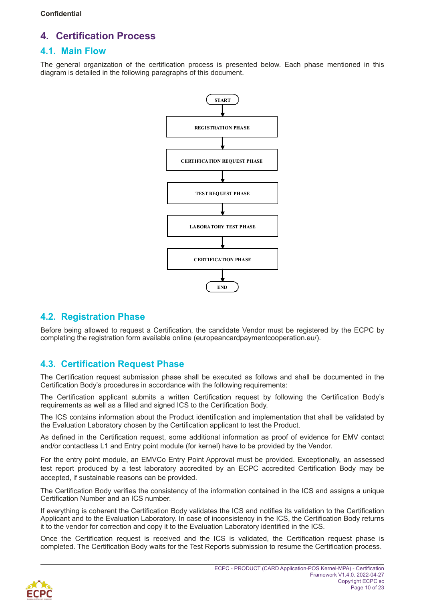# <span id="page-9-0"></span>**4. Certification Process**

### <span id="page-9-1"></span>**4.1. Main Flow**

The general organization of the certification process is presented below. Each phase mentioned in this diagram is detailed in the following paragraphs of this document.



### <span id="page-9-2"></span>**4.2. Registration Phase**

Before being allowed to request a Certification, the candidate Vendor must be registered by the ECPC by completing the registration form available online (europeancardpaymentcooperation.eu/).

### <span id="page-9-4"></span><span id="page-9-3"></span>**4.3. Certification Request Phase**

The Certification request submission phase shall be executed as follows and shall be documented in the Certification Body's procedures in accordance with the following requirements:

The Certification applicant submits a written Certification request by following the Certification Body's requirements as well as a filled and signed ICS to the Certification Body.

The ICS contains information about the Product identification and implementation that shall be validated by the Evaluation Laboratory chosen by the Certification applicant to test the Product.

As defined in the Certification request, some additional information as proof of evidence for EMV contact and/or contactless L1 and Entry point module (for kernel) have to be provided by the Vendor.

For the entry point module, an EMVCo Entry Point Approval must be provided. Exceptionally, an assessed test report produced by a test laboratory accredited by an ECPC accredited Certification Body may be accepted, if sustainable reasons can be provided.

The Certification Body verifies the consistency of the information contained in the ICS and assigns a unique Certification Number and an ICS number.

If everything is coherent the Certification Body validates the ICS and notifies its validation to the Certification Applicant and to the Evaluation Laboratory. In case of inconsistency in the ICS, the Certification Body returns it to the vendor for correction and copy it to the Evaluation Laboratory identified in the ICS.

Once the Certification request is received and the ICS is validated, the Certification request phase is completed. The Certification Body waits for the Test Reports submission to resume the Certification process.

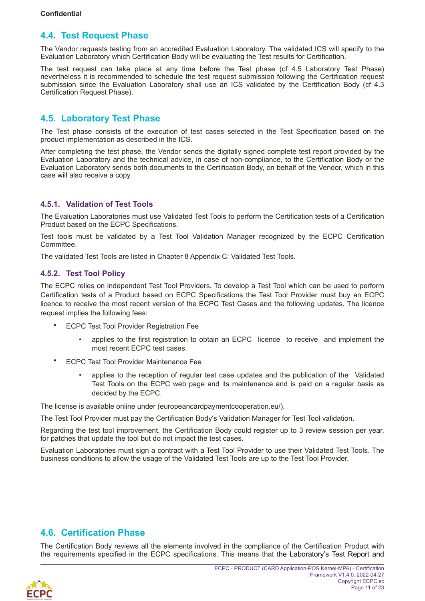### <span id="page-10-0"></span>**4.4. Test Request Phase**

The Vendor requests testing from an accredited Evaluation Laboratory. The validated ICS will specify to the Evaluation Laboratory which Certification Body will be evaluating the Test results for Certification.

The test request can take place at any time before the Test phase (cf [4.5](#page-10-1) [Laboratory Test Phase\)](#page-10-5) nevertheless it is recommended to schedule the test request submission following the Certification request submission since the Evaluation Laboratory shall use an ICS validated by the Certification Body (cf [4.3](#page-9-4) [Certification Request Phase\)](#page-9-4).

### <span id="page-10-5"></span><span id="page-10-1"></span>**4.5. Laboratory Test Phase**

The Test phase consists of the execution of test cases selected in the Test Specification based on the product implementation as described in the ICS.

After completing the test phase, the Vendor sends the digitally signed complete test report provided by the Evaluation Laboratory and the technical advice, in case of non-compliance, to the Certification Body or the Evaluation Laboratory sends both documents to the Certification Body, on behalf of the Vendor, which in this case will also receive a copy.

#### <span id="page-10-2"></span>**4.5.1. Validation of Test Tools**

The Evaluation Laboratories must use Validated Test Tools to perform the Certification tests of a Certification Product based on the ECPC Specifications.

Test tools must be validated by a Test Tool Validation Manager recognized by the ECPC Certification Committee.

The validated Test Tools are listed in Chapter [8 Appendix C: Validated Test Tools.](#page-16-0)

#### <span id="page-10-3"></span>**4.5.2. Test Tool Policy**

The ECPC relies on independent Test Tool Providers. To develop a Test Tool which can be used to perform Certification tests of a Product based on ECPC Specifications the Test Tool Provider must buy an ECPC licence to receive the most recent version of the ECPC Test Cases and the following updates. The licence request implies the following fees:

- ECPC Test Tool Provider Registration Fee
	- applies to the first registration to obtain an ECPC licence to receive and implement the most recent ECPC test cases.
- ECPC Test Tool Provider Maintenance Fee
	- applies to the reception of regular test case updates and the publication of the Validated Test Tools on the ECPC web page and its maintenance and is paid on a regular basis as decided by the ECPC.

The license is available online under (europeancardpaymentcooperation.eu/).

The Test Tool Provider must pay the Certification Body's Validation Manager for Test Tool validation.

Regarding the test tool improvement, the Certification Body could register up to 3 review session per year, for patches that update the tool but do not impact the test cases.

Evaluation Laboratories must sign a contract with a Test Tool Provider to use their Validated Test Tools. The business conditions to allow the usage of the Validated Test Tools are up to the Test Tool Provider.

### <span id="page-10-4"></span>**4.6. Certification Phase**

The Certification Body reviews all the elements involved in the compliance of the Certification Product with the requirements specified in the ECPC specifications. This means that the Laboratory's Test Report and

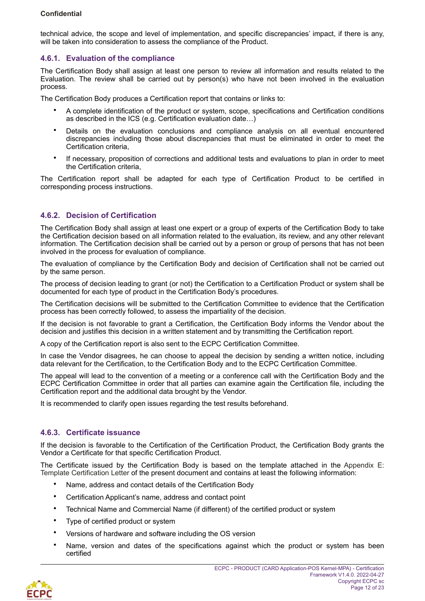technical advice, the scope and level of implementation, and specific discrepancies' impact, if there is any, will be taken into consideration to assess the compliance of the Product.

#### <span id="page-11-0"></span>**4.6.1. Evaluation of the compliance**

The Certification Body shall assign at least one person to review all information and results related to the Evaluation. The review shall be carried out by person(s) who have not been involved in the evaluation process.

The Certification Body produces a Certification report that contains or links to:

- A complete identification of the product or system, scope, specifications and Certification conditions as described in the ICS (e.g. Certification evaluation date…)
- Details on the evaluation conclusions and compliance analysis on all eventual encountered discrepancies including those about discrepancies that must be eliminated in order to meet the Certification criteria,
- If necessary, proposition of corrections and additional tests and evaluations to plan in order to meet the Certification criteria,

The Certification report shall be adapted for each type of Certification Product to be certified in corresponding process instructions.

#### <span id="page-11-1"></span>**4.6.2. Decision of Certification**

The Certification Body shall assign at least one expert or a group of experts of the Certification Body to take the Certification decision based on all information related to the evaluation, its review, and any other relevant information. The Certification decision shall be carried out by a person or group of persons that has not been involved in the process for evaluation of compliance.

The evaluation of compliance by the Certification Body and decision of Certification shall not be carried out by the same person.

The process of decision leading to grant (or not) the Certification to a Certification Product or system shall be documented for each type of product in the Certification Body's procedures.

The Certification decisions will be submitted to the Certification Committee to evidence that the Certification process has been correctly followed, to assess the impartiality of the decision.

If the decision is not favorable to grant a Certification, the Certification Body informs the Vendor about the decision and justifies this decision in a written statement and by transmitting the Certification report.

A copy of the Certification report is also sent to the ECPC Certification Committee.

In case the Vendor disagrees, he can choose to appeal the decision by sending a written notice, including data relevant for the Certification, to the Certification Body and to the ECPC Certification Committee.

The appeal will lead to the convention of a meeting or a conference call with the Certification Body and the ECPC Certification Committee in order that all parties can examine again the Certification file, including the Certification report and the additional data brought by the Vendor.

It is recommended to clarify open issues regarding the test results beforehand.

#### <span id="page-11-2"></span>**4.6.3. Certificate issuance**

If the decision is favorable to the Certification of the Certification Product, the Certification Body grants the Vendor a Certificate for that specific Certification Product.

The Certificate issued by the Certification Body is based on the template attached in the [Appendix E:](#page-22-1) [Template Certification Letter](#page-22-1) of the present document and contains at least the following information:

- Name, address and contact details of the Certification Body
- Certification Applicant's name, address and contact point
- Technical Name and Commercial Name (if different) of the certified product or system
- Type of certified product or system
- Versions of hardware and software including the OS version
- Name, version and dates of the specifications against which the product or system has been certified

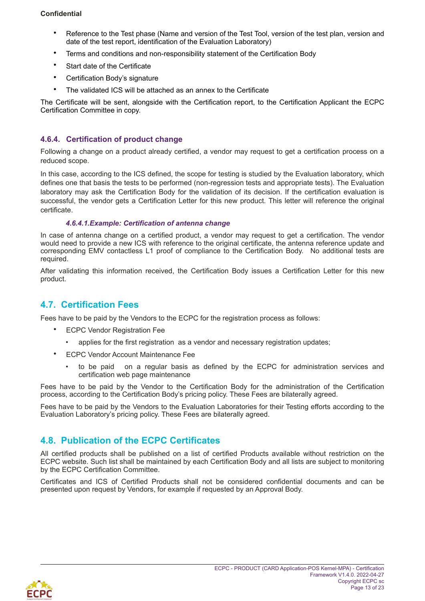#### **Confidential**

- Reference to the Test phase (Name and version of the Test Tool, version of the test plan, version and date of the test report, identification of the Evaluation Laboratory)
- Terms and conditions and non-responsibility statement of the Certification Body
- Start date of the Certificate
- Certification Body's signature
- The validated ICS will be attached as an annex to the Certificate

The Certificate will be sent, alongside with the Certification report, to the Certification Applicant the ECPC Certification Committee in copy.

#### <span id="page-12-0"></span>**4.6.4. Certification of product change**

Following a change on a product already certified, a vendor may request to get a certification process on a reduced scope.

In this case, according to the ICS defined, the scope for testing is studied by the Evaluation laboratory, which defines one that basis the tests to be performed (non-regression tests and appropriate tests). The Evaluation laboratory may ask the Certification Body for the validation of its decision. If the certification evaluation is successful, the vendor gets a Certification Letter for this new product. This letter will reference the original certificate.

#### *4.6.4.1.Example: Certification of antenna change*

In case of antenna change on a certified product, a vendor may request to get a certification. The vendor would need to provide a new ICS with reference to the original certificate, the antenna reference update and corresponding EMV contactless L1 proof of compliance to the Certification Body. No additional tests are required.

After validating this information received, the Certification Body issues a Certification Letter for this new product.

### <span id="page-12-1"></span>**4.7. Certification Fees**

Fees have to be paid by the Vendors to the ECPC for the registration process as follows:

- **ECPC Vendor Registration Fee** 
	- applies for the first registration as a vendor and necessary registration updates;
- ECPC Vendor Account Maintenance Fee
	- to be paid on a regular basis as defined by the ECPC for administration services and certification web page maintenance

Fees have to be paid by the Vendor to the Certification Body for the administration of the Certification process, according to the Certification Body's pricing policy. These Fees are bilaterally agreed.

Fees have to be paid by the Vendors to the Evaluation Laboratories for their Testing efforts according to the Evaluation Laboratory's pricing policy. These Fees are bilaterally agreed.

### <span id="page-12-2"></span>**4.8. Publication of the ECPC Certificates**

All certified products shall be published on a list of certified Products available without restriction on the ECPC website. Such list shall be maintained by each Certification Body and all lists are subject to monitoring by the ECPC Certification Committee.

Certificates and ICS of Certified Products shall not be considered confidential documents and can be presented upon request by Vendors, for example if requested by an Approval Body.

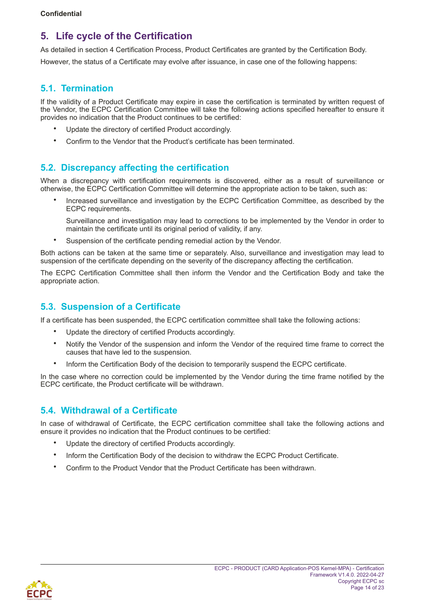# <span id="page-13-0"></span>**5. Life cycle of the Certification**

As detailed in section [4 Certification Process](#page-9-0), Product Certificates are granted by the Certification Body.

However, the status of a Certificate may evolve after issuance, in case one of the following happens:

### <span id="page-13-1"></span>**5.1. Termination**

If the validity of a Product Certificate may expire in case the certification is terminated by written request of the Vendor, the ECPC Certification Committee will take the following actions specified hereafter to ensure it provides no indication that the Product continues to be certified:

- Update the directory of certified Product accordingly.
- Confirm to the Vendor that the Product's certificate has been terminated.

### <span id="page-13-2"></span>**5.2. Discrepancy affecting the certification**

When a discrepancy with certification requirements is discovered, either as a result of surveillance or otherwise, the ECPC Certification Committee will determine the appropriate action to be taken, such as:

• Increased surveillance and investigation by the ECPC Certification Committee, as described by the ECPC requirements.

Surveillance and investigation may lead to corrections to be implemented by the Vendor in order to maintain the certificate until its original period of validity, if any.

Suspension of the certificate pending remedial action by the Vendor.

Both actions can be taken at the same time or separately. Also, surveillance and investigation may lead to suspension of the certificate depending on the severity of the discrepancy affecting the certification.

The ECPC Certification Committee shall then inform the Vendor and the Certification Body and take the appropriate action.

## <span id="page-13-3"></span>**5.3. Suspension of a Certificate**

If a certificate has been suspended, the ECPC certification committee shall take the following actions:

- Update the directory of certified Products accordingly.
- Notify the Vendor of the suspension and inform the Vendor of the required time frame to correct the causes that have led to the suspension.
- Inform the Certification Body of the decision to temporarily suspend the ECPC certificate.

In the case where no correction could be implemented by the Vendor during the time frame notified by the ECPC certificate, the Product certificate will be withdrawn.

## <span id="page-13-4"></span>**5.4. Withdrawal of a Certificate**

In case of withdrawal of Certificate, the ECPC certification committee shall take the following actions and ensure it provides no indication that the Product continues to be certified:

- Update the directory of certified Products accordingly.
- Inform the Certification Body of the decision to withdraw the ECPC Product Certificate.
- Confirm to the Product Vendor that the Product Certificate has been withdrawn.

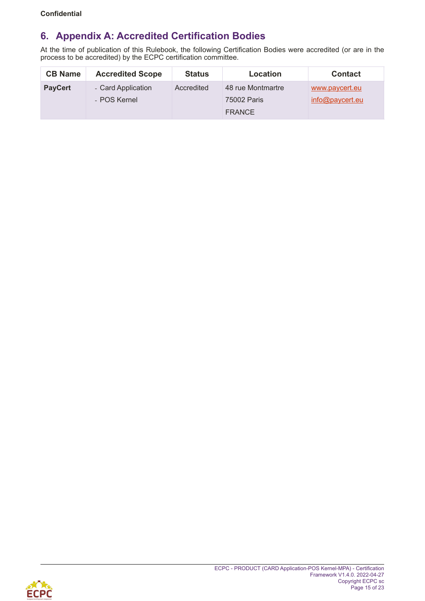# <span id="page-14-1"></span><span id="page-14-0"></span>**6. Appendix A: Accredited Certification Bodies**

At the time of publication of this Rulebook, the following Certification Bodies were accredited (or are in the process to be accredited) by the ECPC certification committee.

| <b>CB Name</b> | <b>Accredited Scope</b>            | <b>Status</b> | Location                                          | <b>Contact</b>                    |
|----------------|------------------------------------|---------------|---------------------------------------------------|-----------------------------------|
| <b>PayCert</b> | - Card Application<br>- POS Kernel | Accredited    | 48 rue Montmartre<br>75002 Paris<br><b>FRANCE</b> | www.paycert.eu<br>info@paycert.eu |

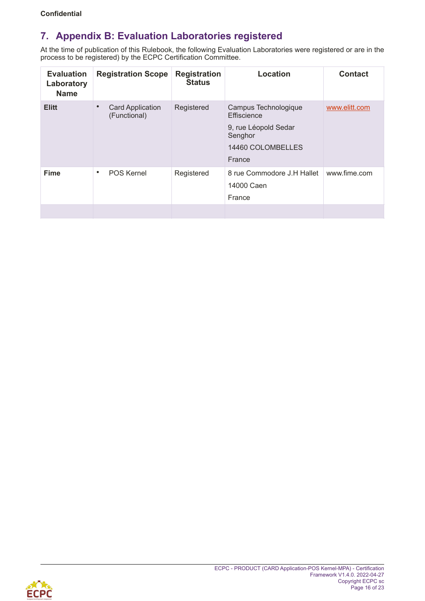# <span id="page-15-1"></span><span id="page-15-0"></span>**7. Appendix B: Evaluation Laboratories registered**

At the time of publication of this Rulebook, the following Evaluation Laboratories were registered or are in the process to be registered) by the ECPC Certification Committee.

| <b>Evaluation</b><br>Laboratory<br><b>Name</b> | <b>Registration Scope</b>                            | <b>Registration</b><br><b>Status</b> | Location                                                                                              | <b>Contact</b> |
|------------------------------------------------|------------------------------------------------------|--------------------------------------|-------------------------------------------------------------------------------------------------------|----------------|
| <b>Elitt</b>                                   | <b>Card Application</b><br>$\bullet$<br>(Functional) | Registered                           | Campus Technologique<br>Effiscience<br>9, rue Léopold Sedar<br>Senghor<br>14460 COLOMBELLES<br>France | www.elitt.com  |
| <b>Fime</b>                                    | <b>POS Kernel</b><br>٠                               | Registered                           | 8 rue Commodore J.H Hallet<br>14000 Caen<br>France                                                    | www.fime.com   |

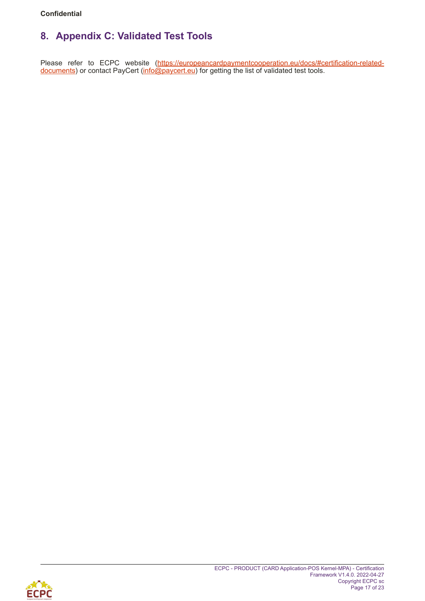# <span id="page-16-0"></span>**8. Appendix C: Validated Test Tools**

Please refer to ECPC website ([https://europeancardpaymentcooperation.eu/docs/#certification-related](https://europeancardpaymentcooperation.eu/docs/%23certification-related-documents)[documents\)](https://europeancardpaymentcooperation.eu/docs/%23certification-related-documents) or contact PayCert ([info@paycert.eu\)](mailto:info@paycert.eu) for getting the list of validated test tools.

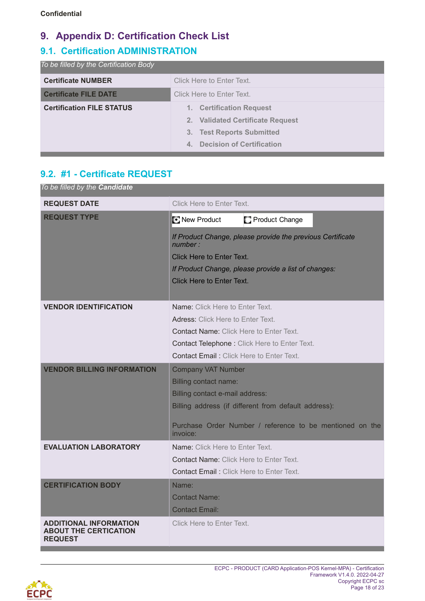# <span id="page-17-0"></span>**9. Appendix D: Certification Check List**

# <span id="page-17-1"></span>**9.1. Certification ADMINISTRATION**

| To be filled by the Certification Body |                                             |  |
|----------------------------------------|---------------------------------------------|--|
| <b>Certificate NUMBER</b>              | Click Here to Enter Text.                   |  |
| <b>Certificate FILE DATE</b>           | Click Here to Enter Text.                   |  |
| <b>Certification FILE STATUS</b>       | 1. Certification Request                    |  |
|                                        | 2. Validated Certificate Request            |  |
|                                        | 3. Test Reports Submitted                   |  |
|                                        | <b>Decision of Certification</b><br>$4_{-}$ |  |

# <span id="page-17-2"></span>**9.2. #1 - Certificate REQUEST**

| To be filled by the Candidate                                                   |                                                                       |
|---------------------------------------------------------------------------------|-----------------------------------------------------------------------|
| <b>REQUEST DATE</b>                                                             | Click Here to Enter Text.                                             |
| <b>REQUEST TYPE</b>                                                             | New Product<br>Product Change                                         |
|                                                                                 | If Product Change, please provide the previous Certificate<br>number: |
|                                                                                 | <b>Click Here to Enter Text.</b>                                      |
|                                                                                 | If Product Change, please provide a list of changes:                  |
|                                                                                 | Click Here to Enter Text.                                             |
|                                                                                 |                                                                       |
| <b>VENDOR IDENTIFICATION</b>                                                    | Name: Click Here to Enter Text.                                       |
|                                                                                 | Adress: Click Here to Enter Text.                                     |
|                                                                                 | <b>Contact Name: Click Here to Enter Text.</b>                        |
|                                                                                 | Contact Telephone: Click Here to Enter Text.                          |
|                                                                                 | <b>Contact Email:</b> Click Here to Enter Text.                       |
| <b>VENDOR BILLING INFORMATION</b>                                               | <b>Company VAT Number</b>                                             |
|                                                                                 | <b>Billing contact name:</b>                                          |
|                                                                                 | Billing contact e-mail address:                                       |
|                                                                                 | Billing address (if different from default address):                  |
|                                                                                 | Purchase Order Number / reference to be mentioned on the<br>invoice:  |
| <b>EVALUATION LABORATORY</b>                                                    | Name: Click Here to Enter Text.                                       |
|                                                                                 | <b>Contact Name: Click Here to Enter Text.</b>                        |
|                                                                                 | Contact Email: Click Here to Enter Text.                              |
| <b>CERTIFICATION BODY</b>                                                       | Name:                                                                 |
|                                                                                 | <b>Contact Name:</b>                                                  |
|                                                                                 | <b>Contact Email:</b>                                                 |
| <b>ADDITIONAL INFORMATION</b><br><b>ABOUT THE CERTICATION</b><br><b>REQUEST</b> | Click Here to Enter Text.                                             |

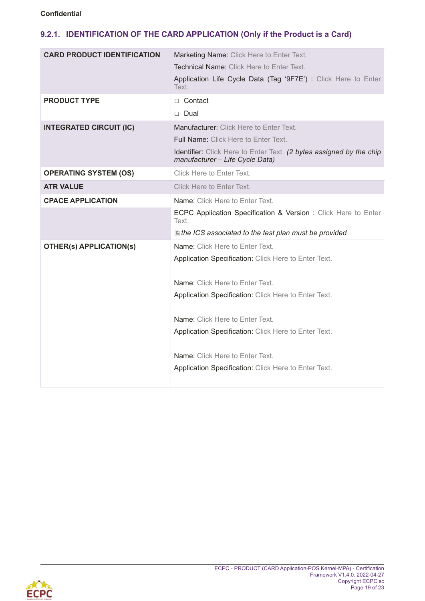### <span id="page-18-0"></span>**9.2.1. IDENTIFICATION OF THE CARD APPLICATION (Only if the Product is a Card)**

| <b>CARD PRODUCT IDENTIFICATION</b> | Marketing Name: Click Here to Enter Text.<br><b>Technical Name: Click Here to Enter Text.</b>          |
|------------------------------------|--------------------------------------------------------------------------------------------------------|
|                                    | Application Life Cycle Data (Tag '9F7E') : Click Here to Enter<br>Text.                                |
| <b>PRODUCT TYPE</b>                | $\Box$ Contact                                                                                         |
|                                    | $\Box$ Dual                                                                                            |
| <b>INTEGRATED CIRCUIT (IC)</b>     | Manufacturer: Click Here to Enter Text.                                                                |
|                                    | <b>Full Name: Click Here to Enter Text.</b>                                                            |
|                                    | Identifier: Click Here to Enter Text. (2 bytes assigned by the chip<br>manufacturer - Life Cycle Data) |
| <b>OPERATING SYSTEM (OS)</b>       | Click Here to Enter Text.                                                                              |
| <b>ATR VALUE</b>                   | Click Here to Enter Text.                                                                              |
| <b>CPACE APPLICATION</b>           | Name: Click Here to Enter Text.                                                                        |
|                                    | ECPC Application Specification & Version : Click Here to Enter<br>Text.                                |
|                                    | ■ the ICS associated to the test plan must be provided                                                 |
| <b>OTHER(s) APPLICATION(s)</b>     | Name: Click Here to Enter Text.                                                                        |
|                                    | Application Specification: Click Here to Enter Text.                                                   |
|                                    | Name: Click Here to Enter Text.                                                                        |
|                                    | Application Specification: Click Here to Enter Text.                                                   |
|                                    | <b>Name:</b> Click Here to Enter Text.                                                                 |
|                                    | Application Specification: Click Here to Enter Text.                                                   |
|                                    | Name: Click Here to Enter Text.                                                                        |
|                                    | Application Specification: Click Here to Enter Text.                                                   |

<span id="page-18-1"></span>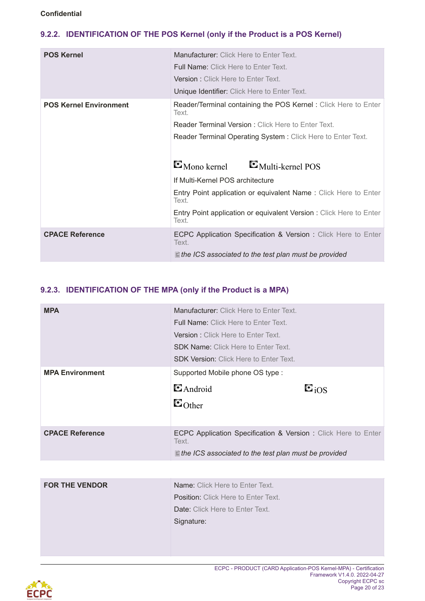### <span id="page-19-0"></span>**9.2.2. IDENTIFICATION OF THE POS Kernel (only if the Product is a POS Kernel)**

| <b>POS Kernel</b>             | Manufacturer: Click Here to Enter Text.<br><b>Full Name: Click Here to Enter Text.</b> |  |
|-------------------------------|----------------------------------------------------------------------------------------|--|
|                               | <b>Version: Click Here to Enter Text.</b>                                              |  |
|                               | Unique Identifier: Click Here to Enter Text.                                           |  |
| <b>POS Kernel Environment</b> | Reader/Terminal containing the POS Kernel: Click Here to Enter<br>Text.                |  |
|                               | <b>Reader Terminal Version: Click Here to Enter Text.</b>                              |  |
|                               | Reader Terminal Operating System: Click Here to Enter Text.                            |  |
|                               |                                                                                        |  |
|                               | $\blacksquare$ Mono kernel<br>$\blacksquare$ Multi-kernel POS                          |  |
|                               | If Multi-Kernel POS architecture                                                       |  |
|                               | Entry Point application or equivalent Name: Click Here to Enter<br>Text.               |  |
|                               | Entry Point application or equivalent Version: Click Here to Enter<br>Text.            |  |
| <b>CPACE Reference</b>        | <b>ECPC Application Specification &amp; Version:</b> Click Here to Enter<br>Text.      |  |
|                               | $\equiv$ the ICS associated to the test plan must be provided                          |  |

### <span id="page-19-1"></span>**9.2.3. IDENTIFICATION OF THE MPA (only if the Product is a MPA)**

| <b>MPA</b>             | <b>Manufacturer:</b> Click Here to Enter Text.                                           |                    |
|------------------------|------------------------------------------------------------------------------------------|--------------------|
|                        | <b>Full Name:</b> Click Here to Enter Text.<br><b>Version:</b> Click Here to Enter Text. |                    |
|                        |                                                                                          |                    |
|                        | <b>SDK Name: Click Here to Enter Text.</b>                                               |                    |
|                        | <b>SDK Version: Click Here to Enter Text.</b>                                            |                    |
| <b>MPA Environment</b> | Supported Mobile phone OS type:                                                          |                    |
|                        | $\blacksquare$ Android                                                                   | $\Xi_{\text{iOS}}$ |
|                        | $\blacksquare$ Other                                                                     |                    |
|                        |                                                                                          |                    |
| <b>CPACE Reference</b> | ECPC Application Specification & Version: Click Here to Enter<br>Text.                   |                    |
|                        | $\equiv$ the ICS associated to the test plan must be provided                            |                    |
|                        |                                                                                          |                    |

| <b>FOR THE VENDOR</b> | <b>Name:</b> Click Here to Enter Text.     |
|-----------------------|--------------------------------------------|
|                       | <b>Position:</b> Click Here to Enter Text. |
|                       | <b>Date:</b> Click Here to Enter Text.     |
|                       | Signature:                                 |
|                       |                                            |
|                       |                                            |

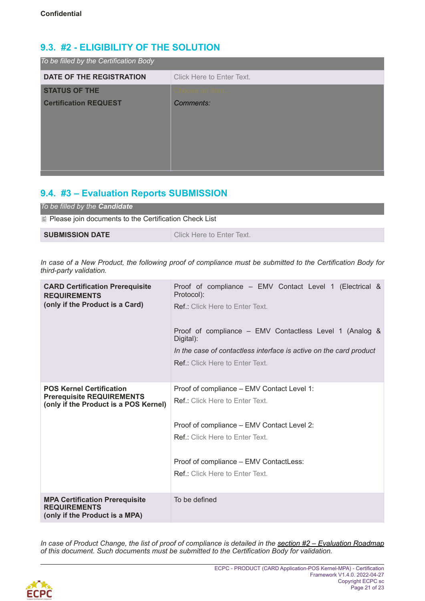# <span id="page-20-0"></span>**9.3. #2 - ELIGIBILITY OF THE SOLUTION**

| To be filled by the Certification Body |                           |
|----------------------------------------|---------------------------|
| DATE OF THE REGISTRATION               | Click Here to Enter Text. |
| <b>STATUS OF THE</b>                   |                           |
| <b>Certification REQUEST</b>           | Comments:                 |
|                                        |                           |
|                                        |                           |
|                                        |                           |
|                                        |                           |
|                                        |                           |

# <span id="page-20-1"></span>**9.4. #3 – Evaluation Reports SUBMISSION**

| To be filled by the <b>Candidate</b>                           |                           |  |
|----------------------------------------------------------------|---------------------------|--|
| $\equiv$ Please join documents to the Certification Check List |                           |  |
| <b>SUBMISSION DATE</b>                                         | Click Here to Enter Text. |  |

*In case of a New Product, the following proof of compliance must be submitted to the Certification Body for third-party validation.*

| <b>CARD Certification Prerequisite</b><br><b>REQUIREMENTS</b><br>(only if the Product is a Card)             | Proof of compliance - EMV Contact Level 1 (Electrical &<br>Protocol):<br><b>Ref.:</b> Click Here to Enter Text.<br>Proof of compliance – EMV Contactless Level 1 (Analog &<br>Digital):<br>In the case of contactless interface is active on the card product<br><b>Ref.:</b> Click Here to Enter Text. |
|--------------------------------------------------------------------------------------------------------------|---------------------------------------------------------------------------------------------------------------------------------------------------------------------------------------------------------------------------------------------------------------------------------------------------------|
| <b>POS Kernel Certification</b><br><b>Prerequisite REQUIREMENTS</b><br>(only if the Product is a POS Kernel) | Proof of compliance - EMV Contact Level 1:<br><b>Ref.:</b> Click Here to Enter Text.<br>Proof of compliance - EMV Contact Level 2:<br><b>Ref.:</b> Click Here to Enter Text.<br>Proof of compliance - EMV ContactLess:<br><b>Ref.:</b> Click Here to Enter Text.                                        |
| <b>MPA Certification Prerequisite</b><br><b>REQUIREMENTS</b><br>(only if the Product is a MPA)               | To be defined                                                                                                                                                                                                                                                                                           |

*In case of Product Change, the list of proof of compliance is detailed in the [section #2 – Evaluation Roadmap](#page-18-1) of this document. Such documents must be submitted to the Certification Body for validation.*

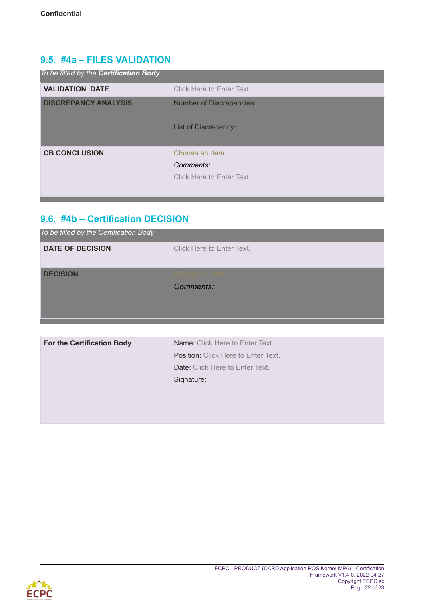## <span id="page-21-0"></span>**9.5. #4a – FILES VALIDATION**

| To be filled by the Certification Body |                                                          |
|----------------------------------------|----------------------------------------------------------|
| <b>VALIDATION DATE</b>                 | Click Here to Enter Text.                                |
| <b>DISCREPANCY ANALYSIS</b>            | <b>Number of Discrepancies:</b><br>List of Discrepancy:  |
| <b>CB CONCLUSION</b>                   | Choose an Item<br>Comments:<br>Click Here to Enter Text. |

# <span id="page-21-1"></span>**9.6. #4b – Certification DECISION**

| To be filled by the Certification Body |  |
|----------------------------------------|--|
| Click Here to Enter Text.              |  |
|                                        |  |
| Comments:                              |  |
|                                        |  |
|                                        |  |
|                                        |  |

| <b>For the Certification Body</b> | Name: Click Here to Enter Text.            |
|-----------------------------------|--------------------------------------------|
|                                   | <b>Position:</b> Click Here to Enter Text. |
|                                   | Date: Click Here to Enter Text.            |
|                                   | Signature:                                 |
|                                   |                                            |
|                                   |                                            |
|                                   |                                            |